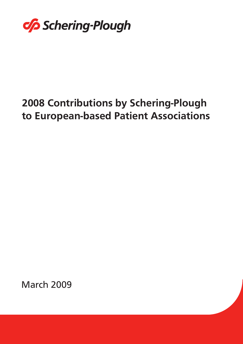

# **2008 Contributions by Schering-Plough<br>to European-based Patient Associations** to European-based Patient Associations

March 2009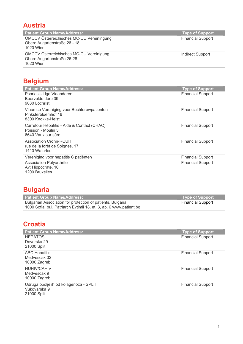### **Austria**

| <b>Patient Group Name/Address:</b>                                                     | <b>Type of Support</b>   |
|----------------------------------------------------------------------------------------|--------------------------|
| ÖMCCV Österreichisches MC-CU Vereiningung<br>Obere Augartenstraße 26 - 18<br>1020 Wien | <b>Financial Support</b> |
| ÖMCCV Österreichisches MC-CU Vereinigung<br>Obere Augartenstraße 26-28<br>1020 Wien    | Indirect Support         |

# **Belgium**

| <b>Patient Group Name/Address:</b>                                                      | <b>Type of Support</b>   |
|-----------------------------------------------------------------------------------------|--------------------------|
| Psoriasis Liga Vlaanderen<br>Beervelde dorp 39<br>9080 Lochristi                        | <b>Financial Support</b> |
| Vlaamse Vereniging voor Bechterewpatienten<br>Pinksterbloemhof 16<br>8300 Knokke-Heist  | <b>Financial Support</b> |
| Carrefour Hépatitis - Aide & Contact (CHAC)<br>Poisson - Moulin 3<br>6640 Vaux sur sûre | <b>Financial Support</b> |
| <b>Association Crohn-RCUH</b><br>rue de la forêt de Soignes, 17<br>1410 Waterloo        | <b>Financial Support</b> |
| Vereniging voor hepatitis C patiënten                                                   | <b>Financial Support</b> |
| <b>Association Polyarthrite</b><br>Av; Hippocrate, 10<br>1200 Bruxelles                 | <b>Financial Support</b> |

# **Bulgaria**

| <b>Patient Group Name/Address:</b>                                 | Type of Support   |
|--------------------------------------------------------------------|-------------------|
| Bulgarian Association for protection of patients, Bulgaria,        | Financial Support |
| 1000 Sofia, bul. Patriarch Evtimii 18, et. 3, ap. 6 www.patient.bg |                   |

# **Croatia**

| <b>Patient Group Name/Address:</b>                                    | Type of Support          |
|-----------------------------------------------------------------------|--------------------------|
| <b>HEPATOS</b><br>Doverska 29                                         | <b>Financial Support</b> |
| 21000 Split                                                           |                          |
| <b>ABC Hepatitis</b><br>Medvescak 32<br>10000 Zagreb                  | <b>Financial Support</b> |
| <b>HUHIV/CAHIV</b><br>Medvescak 9<br>10000 Zagreb                     | <b>Financial Support</b> |
| Udruga oboljelih od kolagenoza - SPLIT<br>Vukovarska 9<br>21000 Split | <b>Financial Support</b> |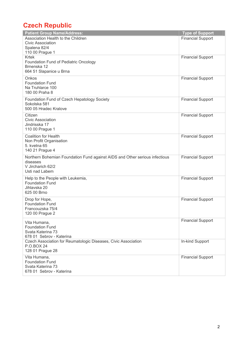# **Czech Republic**

| <b>Patient Group Name/Address:</b>                                          | <b>Type of Support</b>   |
|-----------------------------------------------------------------------------|--------------------------|
| Association Health to the Children                                          | <b>Financial Support</b> |
| Civic Association                                                           |                          |
| Spalena 82/4                                                                |                          |
| 110 00 Prague 1                                                             |                          |
| <b>Krtek</b>                                                                | <b>Financial Support</b> |
| Foundation Fund of Pediatric Oncology<br>Brnenska 12                        |                          |
| 664 51 Slapanice u Brna                                                     |                          |
|                                                                             |                          |
| Onkos                                                                       | <b>Financial Support</b> |
| <b>Foundation Fund</b><br>Na Truhlarce 100                                  |                          |
| 180 00 Praha 8                                                              |                          |
|                                                                             |                          |
| Foundation Fund of Czech Hepatology Society                                 | <b>Financial Support</b> |
| Sokolska 581<br>500 05 Hradec Kralove                                       |                          |
|                                                                             |                          |
| Citizen                                                                     | <b>Financial Support</b> |
| <b>Civic Association</b><br>Jindrisska 17                                   |                          |
| 110 00 Prague 1                                                             |                          |
|                                                                             |                          |
| <b>Coalition for Health</b>                                                 | <b>Financial Support</b> |
| Non Profit Organisation<br>5. kvetna 65                                     |                          |
| 140 21 Prague 4                                                             |                          |
|                                                                             |                          |
| Northern Bohemian Foundation Fund against AIDS and Other serious infectious | <b>Financial Support</b> |
| diseases<br>V Jircharich 62/2                                               |                          |
| Usti nad Labem                                                              |                          |
|                                                                             |                          |
| Help to the People with Leukemia,                                           | <b>Financial Support</b> |
| <b>Foundation Fund</b><br>Jihlavska 20                                      |                          |
| 625 00 Brno                                                                 |                          |
|                                                                             |                          |
| Drop for Hope,                                                              | <b>Financial Support</b> |
| <b>Foundation Fund</b>                                                      |                          |
| Francouzska 75/4<br>120 00 Prague 2                                         |                          |
|                                                                             |                          |
| Vita Humana,                                                                | <b>Financial Support</b> |
| <b>Foundation Fund</b>                                                      |                          |
| Svata Katerina 73                                                           |                          |
| 678 01 Sebrov - Katerina                                                    |                          |
| Czech Association for Reumatologic Diseases, Civic Association              | In-kind Support          |
| <b>P.O.BOX 24</b><br>128 01 Prague 28                                       |                          |
|                                                                             |                          |
| Vita Humana,                                                                | <b>Financial Support</b> |
| <b>Foundation Fund</b><br>Svata Katerina 73                                 |                          |
| 678 01 Sebrov - Katerina                                                    |                          |
|                                                                             |                          |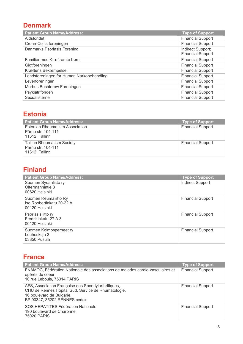#### **Denmark**

| <b>Patient Group Name/Address:</b>        | <b>Type of Support</b>                        |
|-------------------------------------------|-----------------------------------------------|
| Aidsfondet                                | <b>Financial Support</b>                      |
| Crohn-Colits foreningen                   | <b>Financial Support</b>                      |
| Danmarks Psoriasis Forening               | Indirect Support;<br><b>Financial Support</b> |
| Familier med Kræftramte børn              | <b>Financial Support</b>                      |
| Gigtforeningen                            | <b>Financial Support</b>                      |
| Kræftens Bekæmpelse                       | <b>Financial Support</b>                      |
| Landsforeningen for Human Narkobehandling | <b>Financial Support</b>                      |
| Leverforeningen                           | <b>Financial Support</b>                      |
| Morbus Bechterew Foreningen               | <b>Financial Support</b>                      |
| Psykiatrifonden                           | <b>Financial Support</b>                      |
| Sexualisterne                             | <b>Financial Support</b>                      |

#### **Estonia**

| <b>Patient Group Name/Address:</b>                                               | <b>Type of Support</b>   |
|----------------------------------------------------------------------------------|--------------------------|
| <b>Estonian Rheumatism Association</b><br>Pärnu str. 104-111<br>11312, Tallinn   | <b>Financial Support</b> |
| <b>Tallinn Rheumatism Society</b><br>Pärnu str. 104-111<br><b>11312. Tallinn</b> | <b>Financial Support</b> |

#### **Finland**

| <b>Patient Group Name/Address:</b>                                   | <b>Type of Support</b>   |
|----------------------------------------------------------------------|--------------------------|
| Suomen Sydänliitto ry<br>Oltermannintie 8<br>00620 Helsinki          | <b>Indirect Support</b>  |
| Suomen Reumaliitto Ry<br>Iso Roobertinkatu 20-22 A<br>00120 Helsinki | <b>Financial Support</b> |
| Psoriasisliitto ry<br>Fredrikinkatu 27 A 3<br>00120 Helsinki         | <b>Financial Support</b> |
| Suomen Kolmosperheet ry<br>Louhoskuja 2<br>03850 Pusula              | <b>Financial Support</b> |

#### **France**

| <b>Patient Group Name/Address:</b>                                                                                                                                      | <b>Type of Support</b>   |
|-------------------------------------------------------------------------------------------------------------------------------------------------------------------------|--------------------------|
| FNAMOC, Fédération Nationale des associations de malades cardio-vasculaires et<br>opérés du coeur<br>10 rue Lebouis, 75014 PARIS                                        | <b>Financial Support</b> |
| AFS, Association Française des Spondylarthritiques,<br>CHU de Rennes Hôpital Sud, Service de Rhumatologie,<br>16 boulevard de Bulgarie,<br>BP 90347, 35202 RENNES cedex | <b>Financial Support</b> |
| SOS HEPATITES Fédération Nationale<br>190 boulevard de Charonne<br>75020 PARIS                                                                                          | <b>Financial Support</b> |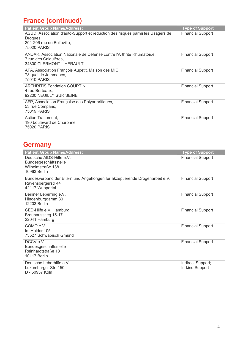# **France (continued)**

| <b>Patient Group Name/Address:</b>                                                                                                            | <b>Type of Support</b>   |
|-----------------------------------------------------------------------------------------------------------------------------------------------|--------------------------|
| ASUD, Association d'auto-Support et réduction des risques parmi les Usagers de<br><b>Drogues</b><br>204-206 rue de Belleville,<br>75020 PARIS | <b>Financial Support</b> |
| ANDAR, Association Nationale de Défense contre l'Arthrite Rhumatoïde,<br>7 rue des Calquières,<br>34800 CLERMONT L'HERAULT                    | <b>Financial Support</b> |
| AFA, Association François Aupetit, Maison des MICI,<br>78 quai de Jemmapes,<br>75010 PARIS                                                    | <b>Financial Support</b> |
| <b>ARTHRITIS Fondation COURTIN,</b><br>4 rue Berteaux,<br>92200 NEUILLY SUR SEINE                                                             | <b>Financial Support</b> |
| AFP, Association Française des Polyarthritiques,<br>53 rue Compans,<br><b>75019 PARIS</b>                                                     | <b>Financial Support</b> |
| Action Traitement,<br>190 boulevard de Charonne,<br>75020 PARIS                                                                               | <b>Financial Support</b> |

# **Germany**

| <b>Patient Group Name/Address:</b>                                                                                    | <b>Type of Support</b>               |
|-----------------------------------------------------------------------------------------------------------------------|--------------------------------------|
| Deutsche AIDS-Hilfe e.V.<br>Bundesgeschäftsstelle<br>Wilhelmstraße 138<br>10963 Berlin                                | <b>Financial Support</b>             |
| Bundesverband der Eltern und Angehörigen für akzeptierende Drogenarbeit e.V.<br>Ravensbergerstr 44<br>42117 Wuppertal | <b>Financial Support</b>             |
| Berliner Leberring e.V.<br>Hindenburgdamm 30<br>12203 Berlin                                                          | <b>Financial Support</b>             |
| CED-Hilfe e.V. Hamburg<br>Brauhausstieg 15-17<br>22041 Hamburg                                                        | <b>Financial Support</b>             |
| COMO e.V.<br>Im Holder 105<br>73527 Schwäbisch Gmünd                                                                  | <b>Financial Support</b>             |
| DCCV e.V.<br>Bundesgeschäftsstelle<br>Reinhardtstraße 18<br><b>10117 Berlin</b>                                       | <b>Financial Support</b>             |
| Deutsche Leberhilfe e.V.<br>Luxemburger Str. 150<br>D - 50937 Köln                                                    | Indirect Support;<br>In-kind Support |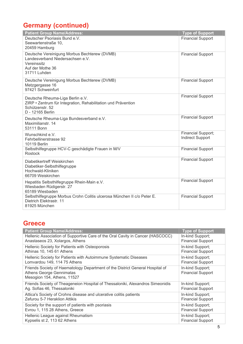# **Germany (continued)**

| <b>Patient Group Name/Address:</b>                                                                                                       | <b>Type of Support</b>                               |
|------------------------------------------------------------------------------------------------------------------------------------------|------------------------------------------------------|
| Deutscher Psoriasis Bund e.V.<br>Seewartenstraße 10.<br>20459 Hamburg                                                                    | <b>Financial Support</b>                             |
| Deutsche Vereinigung Morbus Bechterew (DVMB)<br>Landesverband Niedersachsen e.V.<br>Vereinssitz<br>Auf der Mothe 36<br>31711 Luhden      | <b>Financial Support</b>                             |
| Deutsche Vereinigung Morbus Bechterew (DVMB)<br>Metzgergasse 16<br>97421 Schweinfurt                                                     | <b>Financial Support</b>                             |
| Deutsche Rheuma-Liga Berlin e.V.<br>ZIRP • Zentrum für Integration, Rehabilitation und Prävention<br>Schützenstr. 52<br>D - 12165 Berlin | <b>Financial Support</b>                             |
| Deutsche Rheuma-Liga Bundesverband e.V.<br>Maximilianstr, 14<br>53111 Bonn                                                               | <b>Financial Support</b>                             |
| Wunschkind e.V.<br>Fehrbellinerstrasse 92<br><b>10119 Berlin</b>                                                                         | <b>Financial Support;</b><br><b>Indirect Support</b> |
| Selbsthilfegruppe HCV-C geschädigte Frauen in M/V<br><b>Rostock</b>                                                                      | <b>Financial Support</b>                             |
| Diabetikertreff Weiskirchen<br>Diabetiker-Selbsthilfegruppe<br>Hochwald-Kliniken<br>66709 Weiskirchen                                    | <b>Financial Support</b>                             |
| Hepatitis Selbsthilfegruppe Rhein-Main e.V.<br>Wiesbaden Rüdigerstr. 27<br>65189 Wiesbaden                                               | <b>Financial Support</b>                             |
| Selbsthilfegruppe Morbus Crohn Colitis ulcerosa München II c/o Peter E.<br>Dietrich Elektrastr. 11<br>81925 München                      | <b>Financial Support</b>                             |

#### **Greece**

| <b>Patient Group Name/Address:</b>                                                                                                       | <b>Type of Support</b>                       |
|------------------------------------------------------------------------------------------------------------------------------------------|----------------------------------------------|
| Hellenic Association of Supportive Care of the Oral Cavity in Cancer (HASCOCC)                                                           | In-kind Support;                             |
| Anastaseos 23, Xolargos, Athens                                                                                                          | <b>Financial Support</b>                     |
| Hellenic Society for Patients with Osteoporosis                                                                                          | In-kind Support;                             |
| Athinas 10, 145 61 Athens                                                                                                                | <b>Financial Support</b>                     |
| Hellenic Society for Patients with Autoimmune Systematic Diseases                                                                        | In-kind Support;                             |
| Lomvardou 149, 114 75 Athens                                                                                                             | <b>Financial Support</b>                     |
| Friends Society of Haematology Department of the District General Hospital of<br>Athens George Gennimatas<br>Mesogion 154, Athens, 11527 | In-kind Support;<br><b>Financial Support</b> |
| Friends Society of Theageneion Hospital of Thessaloniki, Alexandros Simeonidis                                                           | In-kind Support;                             |
| Ag. Sofias 46, Thessaloniki                                                                                                              | <b>Financial Support</b>                     |
| Attica's Society of Crohns disease and ulcerative colitis patients                                                                       | In-kind Support;                             |
| Zefurou 5-7 Heraklion Attikis                                                                                                            | <b>Financial Support</b>                     |
| Society for the support of patients with psoriasis                                                                                       | In-kind Support;                             |
| Evrou 1, 115 28 Athens, Greece                                                                                                           | <b>Financial Support</b>                     |
| Hellenic League against Rheumatism                                                                                                       | In-kind Support;                             |
| Kypselis st 2, 113 62 Athens                                                                                                             | <b>Financial Support</b>                     |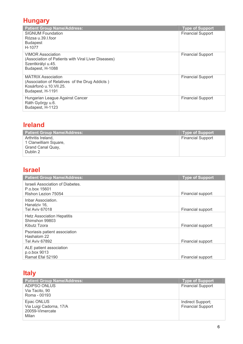#### **Hungary**

| <b>Patient Group Name/Address:</b>                                                                                          | <b>Type of Support</b>   |
|-----------------------------------------------------------------------------------------------------------------------------|--------------------------|
| <b>SIGNUM Foundation</b><br>Rózsa u.39.I.foor<br><b>Budapest</b><br>H-1077                                                  | <b>Financial Support</b> |
| <b>VIMOR Association</b><br>(Association of Patients with Viral Liver Diseases)<br>Szentkirályi u.45.<br>Budapest, H-1088   | <b>Financial Support</b> |
| <b>MÁTRIX Association</b><br>(Association of Relatives of the Drug Addicts)<br>Kosárfonó u.10. VII. 25.<br>Budapest, H-1191 | <b>Financial Support</b> |
| Hungarian League Against Cancer<br>Ráth György u.6.<br>Budapest, H-1123                                                     | <b>Financial Support</b> |

#### **Ireland**

| <b>Patient Group Name/Address:</b> | Type of Support          |
|------------------------------------|--------------------------|
| Arthritis Ireland,                 | <b>Financial Support</b> |
| 1 Clanwilliam Square,              |                          |
| Grand Canal Quay,                  |                          |
| Dublin 2                           |                          |

# **Israel**

| <b>Patient Group Name/Address:</b>                                       | <b>Type of Support</b> |
|--------------------------------------------------------------------------|------------------------|
| Israeli Association of Diabetes.<br>P.o.box 15601<br>Rishon Lezion 75054 | Financial support      |
| Inbar Association.<br>Hanatziv 16,<br>Tel Aviv 67018                     | Financial support      |
| <b>Hetz Association Hepatitis</b><br>Shimshon 99803<br>Kibutz Tzora      | Financial support      |
| Psoriasis patient association<br>Hashalom 22<br><b>Tel Aviv 67892</b>    | Financial support      |
| ALE patient association<br>p.o.box 9013<br>Ramat Efal 52190              | Financial support      |

# **Italy**

| <b>Patient Group Name/Address:</b> | <b>Type of Support</b>   |
|------------------------------------|--------------------------|
| ADIPSO ONLUS                       | <b>Financial Support</b> |
| Via Tacito, 90                     |                          |
| Roma - 00193                       |                          |
| Epac ONLUS                         | Indirect Support;        |
| Via Luigi Cadorna, 17/A            | <b>Financial Support</b> |
| 20059-Vimercate                    |                          |
| Milan                              |                          |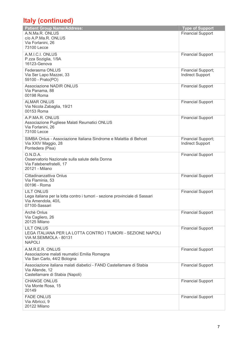# **Italy (continued)**

| <b>Patient Group Name/Address:</b>                                                               | <b>Type of Support</b>   |
|--------------------------------------------------------------------------------------------------|--------------------------|
| A.N.Ma.R. ONLUS                                                                                  | <b>Financial Support</b> |
| c/o A.P.Ma.R. ONLUS<br>Via Forlanini, 26                                                         |                          |
| 73100 Lecce                                                                                      |                          |
| A.M.I.C.I. ONLUS                                                                                 | <b>Financial Support</b> |
| P.zza Soziglia, 1/9A                                                                             |                          |
| 16123-Genova                                                                                     |                          |
| Federasma ONLUS                                                                                  | Financial Support;       |
| Via Ser Lapo Mazzei, 33<br>59100 - Prato(PO)                                                     | <b>Indirect Support</b>  |
| <b>Associazione NADIR ONLUS</b>                                                                  | <b>Financial Support</b> |
| Via Panama, 88                                                                                   |                          |
| 00198 Roma                                                                                       |                          |
| <b>ALMAR ONLUS</b>                                                                               | <b>Financial Support</b> |
| Via Nicola Zabaglia, 19/21                                                                       |                          |
| 00153 Roma                                                                                       |                          |
| A.P.MA.R. ONLUS                                                                                  | <b>Financial Support</b> |
| Associazione Pugliese Malati Reumatici ONLUS<br>Via Forlanini, 26                                |                          |
| 73100 Lecce                                                                                      |                          |
| SIMBA Onlus - Associazione Italiana Sindrome e Malattia di Behcet                                | Financial Support;       |
| Via XXIV Maggio, 28                                                                              | <b>Indirect Support</b>  |
| Pontedera (Pisa)                                                                                 |                          |
| O.N.D.A.                                                                                         | <b>Financial Support</b> |
| Osservatorio Nazionale sulla salute della Donna<br>Via Fatebenefratelli, 17                      |                          |
| 20121 - Milano                                                                                   |                          |
| Cittadinanzattiva Onlus                                                                          | <b>Financial Support</b> |
| Via Flaminia, 53                                                                                 |                          |
| 00196 - Roma                                                                                     |                          |
| <b>LILT ONLUS</b><br>Lega italiana per la lotta contro i tumori - sezione provinciale di Sassari | <b>Financial Support</b> |
| Via Amendola, 40/L                                                                               |                          |
| 07100-Sassari                                                                                    |                          |
| Archè Onlus                                                                                      | <b>Financial Support</b> |
| Via Cagliero, 26                                                                                 |                          |
| <b>20125 Milano</b>                                                                              |                          |
| <b>LILT ONLUS</b><br>LEGA ITALIANA PER LA LOTTA CONTRO I TUMORI - SEZIONE NAPOLI                 | <b>Financial Support</b> |
| VIA M.SEMMOLA - 80131                                                                            |                          |
| <b>NAPOLI</b>                                                                                    |                          |
| A.M.R.E.R. ONLUS                                                                                 | <b>Financial Support</b> |
| Associazione malati reumatici Emilia Romagna                                                     |                          |
| Via San Carlo, 44/2 Bologna                                                                      |                          |
| Associazione italiana malati diabetici - FAND Castellamare di Stabia<br>Via Allende, 12          | <b>Financial Support</b> |
| Castellamare di Stabia (Napoli)                                                                  |                          |
| <b>CHANGE ONLUS</b>                                                                              | <b>Financial Support</b> |
| Via Monte Rosa, 15                                                                               |                          |
| 20149                                                                                            |                          |
| <b>FADE ONLUS</b>                                                                                | <b>Financial Support</b> |
| Via Albricci, 9<br><b>20122 Milano</b>                                                           |                          |
|                                                                                                  |                          |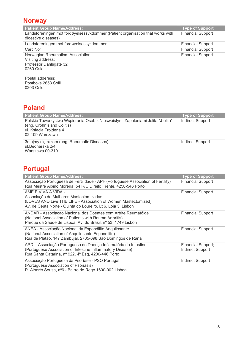#### **Norway**

| <b>Patient Group Name/Address:</b>                                                                    | <b>Type of Support</b>   |
|-------------------------------------------------------------------------------------------------------|--------------------------|
| Landsforeningen mot fordøyelsessykdommer (Patient organisation that works with<br>digestive diseases) | <b>Financial Support</b> |
| Landsforeningen mot fordøyelsessykdommer                                                              | <b>Financial Support</b> |
| CarciNor                                                                                              | <b>Financial Support</b> |
| Norwegian Rheumatism Association<br>Visiting address:<br>Professor Dahlsgate 32<br>$0260$ Oslo        | <b>Financial Support</b> |
| Postal adderess:<br>Postboks 2653 Solli<br>0203 Oslo                                                  |                          |

#### **Poland**

| Patient Group Name/Address:                                                                                                                                | <b>Type of Support</b>  |
|------------------------------------------------------------------------------------------------------------------------------------------------------------|-------------------------|
| Polskie Towarzystwo Wspierania Osób z Nieswoistymi Zapaleniami Jelita "J-elita"<br>(eng. Crohn's and Colitis)<br>ul. Księcia Trojdena 4<br>02-109 Warszawa | <b>Indirect Support</b> |
| 3majmy się razem (eng. Rheumatic Diseases)<br>ul.Bednarska 2/4<br>Warszawa 00-310                                                                          | Indirect Support        |

# **Portugal**

| <b>Patient Group Name/Address:</b>                                                                                                                                                               | <b>Type of Support</b>                        |
|--------------------------------------------------------------------------------------------------------------------------------------------------------------------------------------------------|-----------------------------------------------|
| Associação Portuguesa de Fertilidade - APF (Portuguese Association of Fertility)<br>Rua Mestre Albino Moreira, 54 R/C Direito Frente, 4250-546 Porto                                             | <b>Financial Support</b>                      |
| AME E VIVA A VIDA -<br>Associação de Mulheres Mastectomizadas<br>(LOVES AND Live THE LIFE - Association of Women Mastectomized)<br>Av. de Ceuta Norte - Quinta do Loureiro, Lt 6, Loja 3, Lisbon | <b>Financial Support</b>                      |
| ANDAR - Associação Nacional dos Doentes com Artrite Reumatóide<br>(National Association of Patients with Reuma Arthritis)<br>Parque da Saúde de Lisboa, Av. do Brasil, nº 53, 1749 Lisbon        | <b>Financial Support</b>                      |
| ANEA - Associação Nacional da Espondilite Anquilosante<br>(National Association of Anquilosante Espondilite)<br>Rua de Platão, 147 Zambujal, 2785-698 São Domingos de Rana                       | <b>Financial Support</b>                      |
| APDI - Associação Portuguesa de Doença Inflamatória do Intestino<br>(Portuguese Association of Intestine Inflammatory Disease)<br>Rua Santa Catarina, nº 922, 4ª Esq, 4200-446 Porto             | Financial Support;<br><b>Indirect Support</b> |
| Associação Portuguesa da Psoríase - PSO Portugal<br>(Portuguese Association of Psoriasis)<br>R. Alberto Sousa, nº6 - Bairro do Rego 1600-002 Lisboa                                              | <b>Indirect Support</b>                       |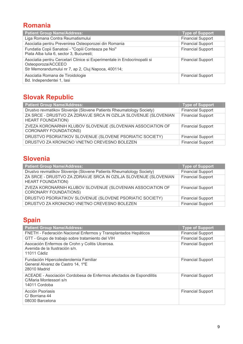#### **Romania**

| <b>Patient Group Name/Address:</b>                                                                                                                    | <b>Type of Support</b>   |
|-------------------------------------------------------------------------------------------------------------------------------------------------------|--------------------------|
| Liga Romana Contra Reumatismului                                                                                                                      | <b>Financial Support</b> |
| Asociatia pentru Prevenirea Osteoporozei din Romania                                                                                                  | <b>Financial Support</b> |
| Fundatia Copii Sanatosi - "Copiii Conteaza pe Noi"<br>Piata Alba Iulia 6, sector 3, Bucuresti;                                                        | <b>Financial Support</b> |
| Asociatia pentru Cercetari Clinice si Experimentale in Endocrinopatii si<br>Osteoporoza/ACCEEO<br>Str Memorandumului nr 7, ap 2, Cluj Napoca, 400114; | <b>Financial Support</b> |
| Asociatia Romana de Tiroidologie<br>Bd. Independentei 1, lasi                                                                                         | <b>Financial Support</b> |

# **Slovak Republic**

| <b>Patient Group Name/Address:</b>                                                           | <b>Type of Support</b>   |
|----------------------------------------------------------------------------------------------|--------------------------|
| Drustvo revmatikov Slovenije (Slovene Patients Rheumatology Society)                         | <b>Financial Support</b> |
| ZA SRCE - DRUSTVO ZA ZDRAVJE SRCA IN OZILJA SLOVENIJE (SLOVENIAN<br><b>HEART FOUNDATION)</b> | <b>Financial Support</b> |
| ZVEZA KORONARNIH KLUBOV SLOVENIJE (SLOVENIAN ASSOCIATION OF<br><b>CORONARY FOUNDATIONS)</b>  | <b>Financial Support</b> |
| DRUSTVO PSORIATIKOV SLOVENIJE (SLOVENE PSORIATIC SOCIETY)                                    | <b>Financial Support</b> |
| DRUSTVO ZA KRONICNO VNETNO CREVESNO BOLEZEN                                                  | <b>Financial Support</b> |

#### **Slovenia**

| <b>Patient Group Name/Address:</b>                                                           | <b>Type of Support</b>   |
|----------------------------------------------------------------------------------------------|--------------------------|
| Drustvo revmatikov Slovenije (Slovene Patients Rheumatology Society)                         | <b>Financial Support</b> |
| ZA SRCE - DRUSTVO ZA ZDRAVJE SRCA IN OZILJA SLOVENIJE (SLOVENIAN<br><b>HEART FOUNDATION)</b> | <b>Financial Support</b> |
| ZVEZA KORONARNIH KLUBOV SLOVENIJE (SLOVENIAN ASSOCIATION OF<br><b>CORONARY FOUNDATIONS)</b>  | <b>Financial Support</b> |
| DRUSTVO PSORIATIKOV SLOVENIJE (SLOVENE PSORIATIC SOCIETY)                                    | <b>Financial Support</b> |
| DRUSTVO ZA KRONICNO VNETNO CREVESNO BOLEZEN                                                  | <b>Financial Support</b> |

# **Spain**

| <b>Patient Group Name/Address:</b>                                                                             | <b>Type of Support</b>   |
|----------------------------------------------------------------------------------------------------------------|--------------------------|
| FNETH - Federación Nacional Enfermos y Transplantados Hepáticos                                                | <b>Financial Support</b> |
| GTT - Grupo de trabajo sobre tratamiento del VIH                                                               | <b>Financial Support</b> |
| Asocación Enfermos de Crohn y Colitis Ulcerosa.<br>Avenida de la Ilustración s/n.<br>11011 Cádiz               | <b>Financial Support</b> |
| Fundación Hipercolesterolemia Familiar<br>General Alvarez de Castro 14, 1ºE<br>28010 Madrid                    | <b>Financial Support</b> |
| ACEADE - Asociación Cordobesa de Enfermos afectados de Espondilitis<br>C/Maria Montessori s/n<br>14011 Cordoba | <b>Financial Support</b> |
| Acción Psoriasis<br>C/Borriana 44<br>08030 Barcelona                                                           | <b>Financial Support</b> |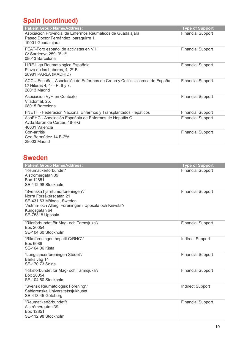# **Spain (continued)**

| <b>Patient Group Name/Address:</b>                                                                                          | <b>Type of Support</b>   |
|-----------------------------------------------------------------------------------------------------------------------------|--------------------------|
| Asociación Provincial de Enfermos Reumáticos de Guadalajara.<br>Paseo Doctor Fernández Iparaguirre 1.<br>19001 Guadalajara  | <b>Financial Support</b> |
| FEAT-Foro español de activistas en VIH<br>C/ Sardenya 259, 3°-1°.<br>08013 Barcelona                                        | <b>Financial Support</b> |
| LIRE-Liga Reumatológica Española<br>Plaza de las Labores, 4 2°-B.<br>28981 PARLA (MADRID)                                   | <b>Financial Support</b> |
| ACCU España - Asociación de Enfermos de Crohn y Colitis Ulcerosa de España.<br>C/ Hileras 4, 4° - P. 6 y 7.<br>28013 Madrid | <b>Financial Support</b> |
| Asociacion VyH en Contexto<br>Viladomat, 25.<br>08015 Barcelona                                                             | <b>Financial Support</b> |
| FNETH - Federación Nacional Enfermos y Transplantados Hepáticos                                                             | <b>Financial Support</b> |
| AsoEHC - Asociación Española de Enfermos de Hepatits C<br>Avda Baron de Carcer, 48-8°G<br>46001 Valencia                    | <b>Financial Support</b> |
| Con-artritis<br>Cea Bermúdez 14 B-2°A<br>28003 Madrid                                                                       | <b>Financial Support</b> |

#### **Sweden**

| <b>Patient Group Name/Address:</b><br>"Reumatikerförbundet"<br>Alströmergatan 39<br>Box 12851<br>SE-112 98 Stockholm                                                                   | <b>Type of Support</b><br><b>Financial Support</b> |
|----------------------------------------------------------------------------------------------------------------------------------------------------------------------------------------|----------------------------------------------------|
| "Svenska hjärntumörföreningen"/<br>Norra Forsåkersgatan 21<br>SE-431 63 Mölndal, Sweden<br>"Astma- och Allergi Föreningen i Uppsala och Knivsta"/<br>Kungsgatan 64<br>SE-75318 Uppsala | <b>Financial Support</b>                           |
| "Riksförbundet för Mag- och Tarmsjuka"/<br>Box 20054<br>SE-104 60 Stockholm                                                                                                            | <b>Financial Support</b>                           |
| "Riksföreningen hepatit C/RHC"/<br>Box 6086<br><b>SE-164 06 Kista</b>                                                                                                                  | <b>Indirect Support</b>                            |
| "Lungcancerföreningen Stödet"/<br>Barks väg 14<br>SE-170 73 Solna                                                                                                                      | <b>Financial Support</b>                           |
| "Riksförbundet för Mag- och Tarmsjuka"/<br>Box 20054<br>SE-104 60 Stockholm                                                                                                            | <b>Financial Support</b>                           |
| "Svensk Reumatologisk Förening"/<br>Sahlgrenska Universitetssjukhuset<br>SE-413 45 Göteborg                                                                                            | <b>Indirect Support</b>                            |
| "Reumatikerförbundet"/<br>Alströmergatan 39<br>Box 12851<br>SE-112 98 Stockholm                                                                                                        | <b>Financial Support</b>                           |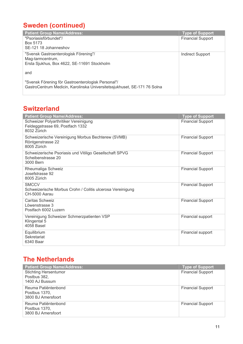# **Sweden (continued)**

| <b>Patient Group Name/Address:</b>                                       | <b>Type of Support</b>   |
|--------------------------------------------------------------------------|--------------------------|
| "Psoriasisförbundet"/                                                    | <b>Financial Support</b> |
| Box 5173                                                                 |                          |
| SE-121 18 Johanneshov                                                    |                          |
| "Svensk Gastroenterologisk Förening"/                                    | <b>Indirect Support</b>  |
| Mag-tarmcentrum,                                                         |                          |
| Ersta Sjukhus, Box 4622, SE-11691 Stockholm                              |                          |
| and                                                                      |                          |
|                                                                          |                          |
| "Svensk Förening för Gastroenterologisk Personal"/                       |                          |
| GastroCentrum Medicin, Karolinska Universitetssjukhuset, SE-171 76 Solna |                          |
|                                                                          |                          |

#### **Switzerland**

| <b>Patient Group Name/Address:</b>                                                          | <b>Type of Support</b>   |
|---------------------------------------------------------------------------------------------|--------------------------|
| Schweizer Polyarthritiker Vereinigung<br>Feldeggstrasse 69, Postfach 1332<br>8032 Zürich    | <b>Financial Support</b> |
| Schweizerische Vereinigung Morbus Bechterew (SVMB)<br>Röntgenstrasse 22<br>8005 Zürich      | <b>Financial Support</b> |
| Schweizerische Psoriasis und Vitiligo Gesellschaft SPVG<br>Scheibenstrasse 20<br>3000 Bern  | <b>Financial Support</b> |
| Rheumaliga Schweiz<br>Josefstrasse 92<br>8005 Zürich                                        | <b>Financial Support</b> |
| <b>SMCCV</b><br>Schweizerische Morbus Crohn / Colitis ulcerosa Vereinigung<br>CH-5000 Aarau | <b>Financial Support</b> |
| Caritas Schweiz<br>Löwenstrasse 3<br>Postfach 6002 Luzern                                   | <b>Financial Support</b> |
| Vereinigung Schweizer Schmerzpatienten VSP<br>Klingental 5<br>4058 Basel                    | Financial support        |
| Equilibrium<br>Sekretariat<br>6340 Baar                                                     | Financial support        |

#### **The Netherlands**

| <b>Patient Group Name/Address:</b>                             | Type of Support          |
|----------------------------------------------------------------|--------------------------|
| <b>Stichting Hersentumor</b><br>Postbus 382,<br>1400 AJ Bussum | <b>Financial Support</b> |
| Reuma Patiëntenbond<br>Postbus 1370,<br>3800 BJ Amersfoort     | <b>Financial Support</b> |
| Reuma Patiëntenbond<br>Postbus 1370,<br>3800 BJ Amersfoort     | <b>Financial Support</b> |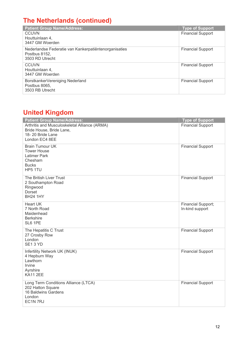#### **The Netherlands (continued)**

| <b>Patient Group Name/Address:</b>                                                        | <b>Type of Support</b>   |
|-------------------------------------------------------------------------------------------|--------------------------|
| <b>CCUVN</b><br>Houttuinlaan 4,                                                           | <b>Financial Support</b> |
| 3447 GM Woerden                                                                           |                          |
| Nederlandse Federatie van Kankerpatiëntenorganisaties<br>Postbus 8152,<br>3503 RD Utrecht | <b>Financial Support</b> |
| CCUVN<br>Houttuinlaan 4,<br>3447 GM Woerden                                               | <b>Financial Support</b> |
| BorstkankerVereniging Nederland<br>Postbus 8065.<br>3503 RB Utrecht                       | <b>Financial Support</b> |

#### **United Kingdom**

| <b>Patient Group Name/Address:</b>                                                                                             | <b>Type of Support</b>                |
|--------------------------------------------------------------------------------------------------------------------------------|---------------------------------------|
| Arthritis and Musculoskeletal Alliance (ARMA)<br>Bride House, Bride Lane,<br>18-20 Bride Lane<br>London EC4 8EE                | <b>Financial Support</b>              |
| <b>Brain Tumour UK</b><br><b>Tower House</b><br><b>Latimer Park</b><br>Chesham<br><b>Bucks</b><br>HP5 1TU                      | <b>Financial Support</b>              |
| The British Liver Trust<br>2 Southampton Road<br>Ringwood<br>Dorset<br><b>BH24 1HY</b>                                         | <b>Financial Support</b>              |
| <b>Heart UK</b><br>7 North Road<br>Maidenhead<br><b>Berkshire</b><br>SL6 1PE                                                   | Financial Support;<br>In-kind support |
| The Hepatitis C Trust<br>27 Crosby Row<br>London<br>SE <sub>1</sub> 3 YD                                                       | <b>Financial Support</b>              |
| Infertility Network UK (INUK)<br>4 Hepburn Way<br>Lawthorn<br>Irvine<br>Ayrshire<br><b>KA11 2EE</b>                            | <b>Financial Support</b>              |
| Long Term Conditions Alliance (LTCA)<br>202 Hatton Square<br>16 Baldwins Gardens<br>London<br>EC <sub>1</sub> N <sub>7RJ</sub> | <b>Financial Support</b>              |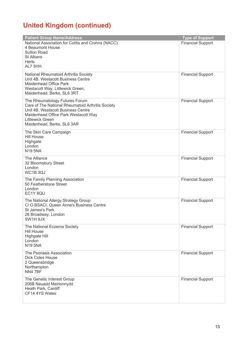# **United Kingdom (continued)**

| <b>Patient Group Name/Address:</b>                                                  | <b>Type of Support</b>   |
|-------------------------------------------------------------------------------------|--------------------------|
| National Association for Colitis and Crohns (NACC)                                  | <b>Financial Support</b> |
| 4 Beaumont House<br><b>Sutton Road</b>                                              |                          |
| <b>St Albans</b>                                                                    |                          |
| <b>Herts</b>                                                                        |                          |
| AL7 5HH                                                                             |                          |
| National Rheumatoid Arthritis Society<br>Unit 4B. Westacott Business Centre         | <b>Financial Support</b> |
| Maidenhead Office Park                                                              |                          |
| Westacott Way, Littlewick Green,                                                    |                          |
| Maidenhead, Berks, SL6 3RT                                                          |                          |
| The Rheumatology Futures Forum<br>Care of The National Rheumatoid Arthritis Society | <b>Financial Support</b> |
| Unit 4B. Westacott Business Centre                                                  |                          |
| Maidenhead Office Park Westacott Way                                                |                          |
| Littlewick Green<br>Maidenhead, Berks, SL6 3AR                                      |                          |
|                                                                                     |                          |
| The Skin Care Campaign<br><b>Hill House</b>                                         | <b>Financial Support</b> |
| Highgate                                                                            |                          |
| London<br><b>N19 5NA</b>                                                            |                          |
|                                                                                     |                          |
| The Alliance<br>32 Bloomsbury Street                                                | <b>Financial Support</b> |
| London                                                                              |                          |
| WC1B3QJ                                                                             |                          |
| The Family Planning Association<br>50 Featherstone Street                           | <b>Financial Support</b> |
| London                                                                              |                          |
| EC1Y 8QU                                                                            |                          |
| The National Allergy Strategy Group                                                 | <b>Financial Support</b> |
| C/ O BSACI, Queen Anne's Business Centre<br><b>St James's Park</b>                  |                          |
| 28 Broadway, London                                                                 |                          |
| SW1H 9JX                                                                            |                          |
| The National Eczema Society                                                         | <b>Financial Support</b> |
| <b>Hill House</b><br>Highgate Hill                                                  |                          |
| London                                                                              |                          |
| <b>N19 5NA</b>                                                                      |                          |
| The Psoriasis Association                                                           | <b>Financial Support</b> |
| <b>Dick Coles House</b><br>2 Queensbridge                                           |                          |
| Northampton                                                                         |                          |
| NN4 7BF                                                                             |                          |
| The Genetic Interest Group<br>206B Neuadd Meirionnydd                               | <b>Financial Support</b> |
| Heath Park, Cardiff                                                                 |                          |
| CF14 4YS Wales                                                                      |                          |
|                                                                                     |                          |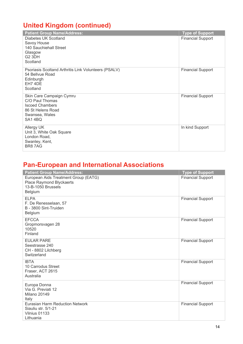# **United Kingdom (continued)**

| <b>Patient Group Name/Address:</b>                                                                                     | <b>Type of Support</b>   |
|------------------------------------------------------------------------------------------------------------------------|--------------------------|
| Diabetes UK Scotland<br>Savoy House<br>140 Sauchiehall Street<br>Glasgow<br>G <sub>2</sub> 3DH<br>Scotland             | <b>Financial Support</b> |
| Psoriasis Scoltand Arthritis Link Volunteers (PSALV)<br>54 Bellvue Road<br>Edinburgh<br>EH7 4DE<br>Scotland            | <b>Financial Support</b> |
| Skin Care Campaign Cymru<br>C/O Paul Thomas<br><b>Iscoed Chambers</b><br>86 St Helens Road<br>Swansea, Wales<br>SA14BQ | <b>Financial Support</b> |
| Allergy UK<br>Unit 3, White Oak Square<br>London Road,<br>Swanley, Kent,<br>BR87AG                                     | In kind Support          |

# **Pan-European and International Associations**

| <b>Patient Group Name/Address:</b>                                                                       | <b>Type of Support</b>   |
|----------------------------------------------------------------------------------------------------------|--------------------------|
| European Aids Treatment Group (EATG)<br>Place Raymond Blyckaerts<br>13-B-1050 Brussels<br><b>Belgium</b> | <b>Financial Support</b> |
| <b>ELPA</b><br>F. De Renesselaan, 57<br>B - 3800 Sint-Truiden<br>Belgium                                 | <b>Financial Support</b> |
| <b>EFCCA</b><br>Gropmorsvagen 28<br>10520<br>Finland                                                     | <b>Financial Support</b> |
| <b>EUI AR PARE</b><br>Seestrasse 240<br>CH - 8802 Lilchberg<br>Switzerland                               | <b>Financial Support</b> |
| <b>IBTA</b><br>10 Carrodus Street<br>Fraser, ACT 2615<br>Australia                                       | <b>Financial Support</b> |
| Europa Donna<br>Via G. Previati 12<br><b>Milano 20149</b><br>Italy                                       | <b>Financial Support</b> |
| <b>Eurasian Harm Reduction Network</b><br>Siauliu str. 5/1-21<br>Vilnius 01133<br>Lithuania              | <b>Financial Support</b> |